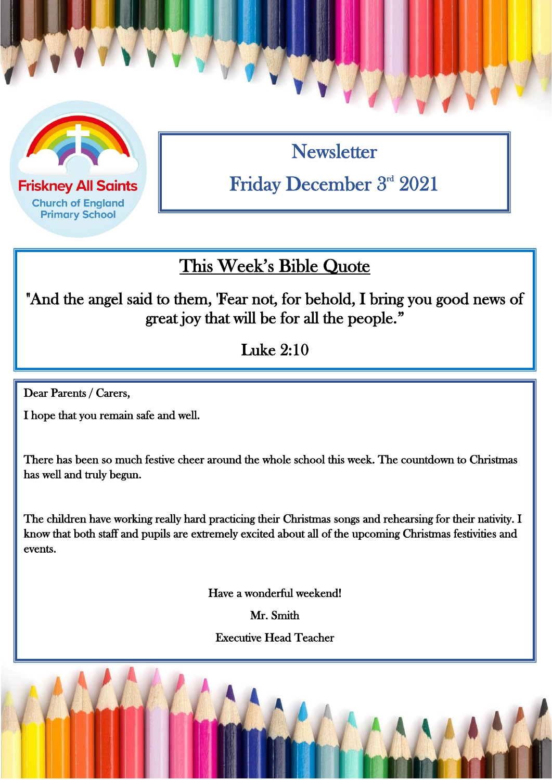

**Church of England Primary School** 

**Newsletter** Friday December 3rd 2021

## This Week's Bible Quote

"And the angel said to them, 'Fear not, for behold, I bring you good news of great joy that will be for all the people."

Luke 2:10

Dear Parents / Carers,

 $\overline{a}$ 

I hope that you remain safe and well.

There has been so much festive cheer around the whole school this week. The countdown to Christmas has well and truly begun.

The children have working really hard practicing their Christmas songs and rehearsing for their nativity. I know that both staff and pupils are extremely excited about all of the upcoming Christmas festivities and events.

Have a wonderful weekend!

Mr. Smith

Executive Head Teacher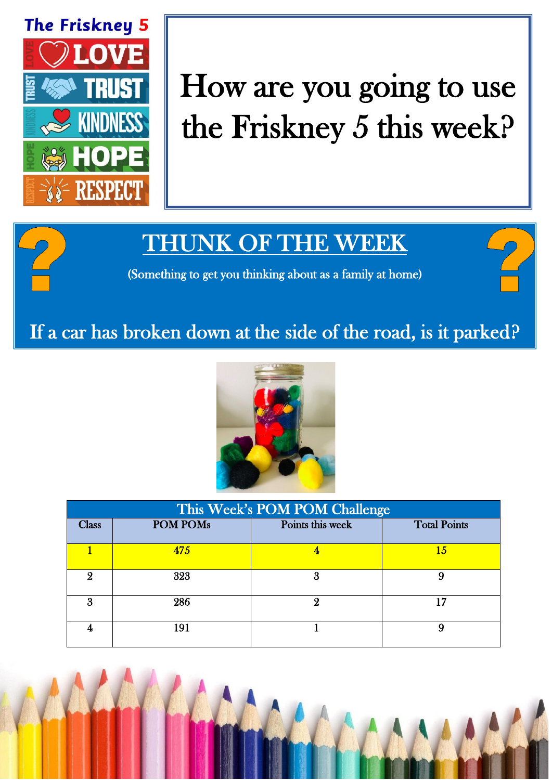

# How are you going to use the Friskney 5 this week?

# THUNK OF THE WEEK

(Something to get you thinking about as a family at home)

### If a car has broken down at the side of the road, is it parked?



| This Week's POM POM Challenge |                 |                  |                     |  |
|-------------------------------|-----------------|------------------|---------------------|--|
| <b>Class</b>                  | <b>POM POMs</b> | Points this week | <b>Total Points</b> |  |
|                               | 475             |                  | 15                  |  |
| 9                             | 323             | 3                | 9                   |  |
| 3                             | 286             |                  | 17                  |  |
|                               | 191             |                  | 9                   |  |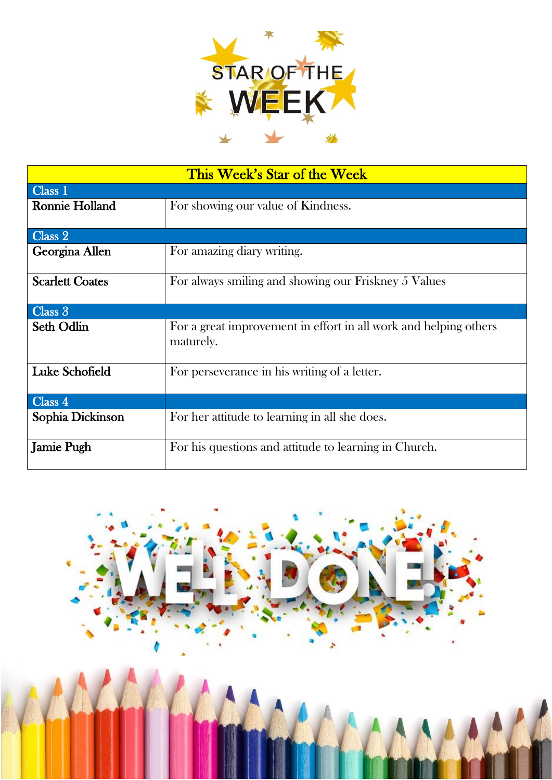

| This Week's Star of the Week |                                                                               |  |  |  |
|------------------------------|-------------------------------------------------------------------------------|--|--|--|
| Class 1                      |                                                                               |  |  |  |
| Ronnie Holland               | For showing our value of Kindness.                                            |  |  |  |
| Class 2                      |                                                                               |  |  |  |
| Georgina Allen               | For amazing diary writing.                                                    |  |  |  |
| <b>Scarlett Coates</b>       | For always smiling and showing our Friskney 5 Values                          |  |  |  |
| Class 3                      |                                                                               |  |  |  |
| Seth Odlin                   | For a great improvement in effort in all work and helping others<br>maturely. |  |  |  |
| <b>Luke Schofield</b>        | For perseverance in his writing of a letter.                                  |  |  |  |
| Class 4                      |                                                                               |  |  |  |
| Sophia Dickinson             | For her attitude to learning in all she does.                                 |  |  |  |
| <b>Jamie Pugh</b>            | For his questions and attitude to learning in Church.                         |  |  |  |

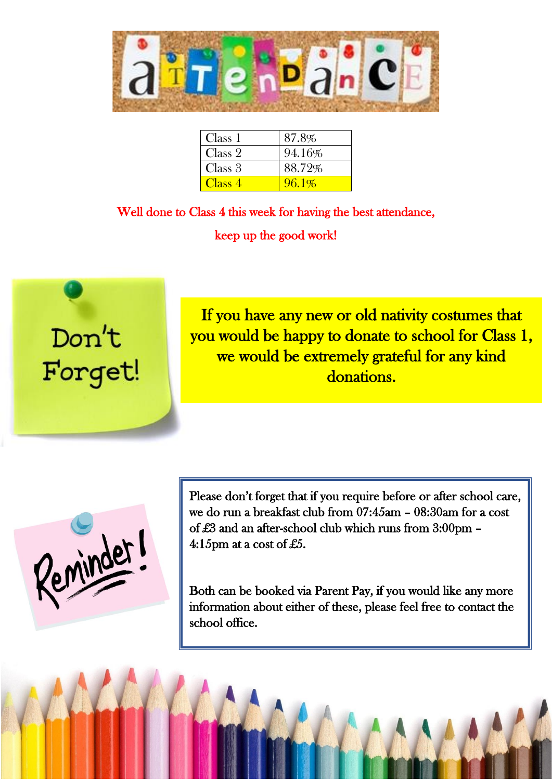

| Class 1            | 87.8%  |
|--------------------|--------|
| Class 2            | 94.16% |
| Class 3            | 88.72% |
| Class <sub>4</sub> | 96.1%  |

Well done to Class 4 this week for having the best attendance, keep up the good work!



If you have any new or old nativity costumes that you would be happy to donate to school for Class 1, we would be extremely grateful for any kind donations.

Reminder!

Please don't forget that if you require before or after school care, we do run a breakfast club from 07:45am – 08:30am for a cost of £3 and an after-school club which runs from 3:00pm – 4:15pm at a cost of £5.

Both can be booked via Parent Pay, if you would like any more information about either of these, please feel free to contact the school office.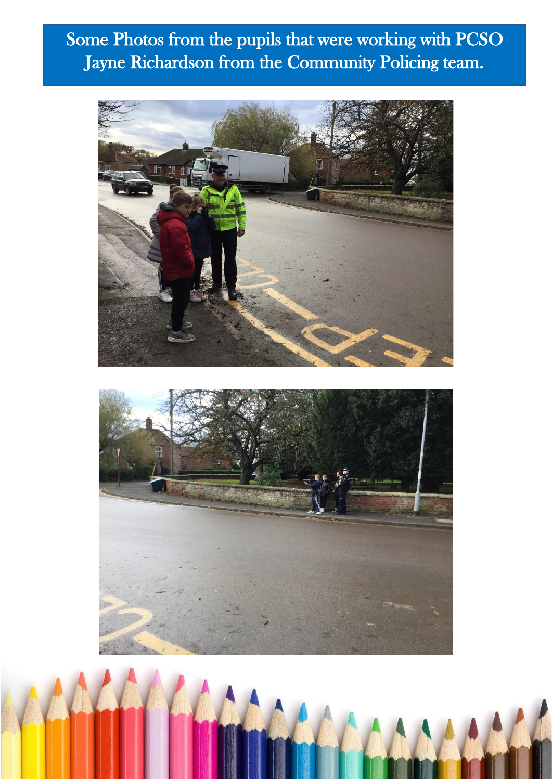# Some Photos from the pupils that were working with PCSO Jayne Richardson from the Community Policing team.



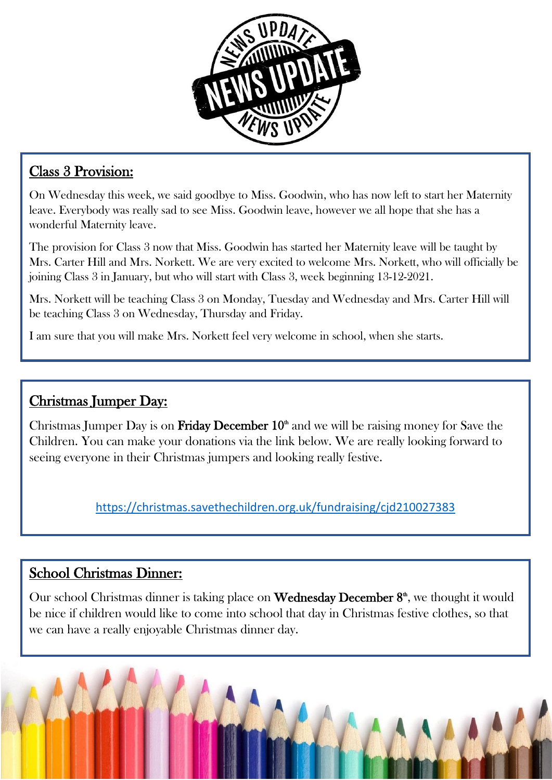

#### Class 3 Provision:

On Wednesday this week, we said goodbye to Miss. Goodwin, who has now left to start her Maternity leave. Everybody was really sad to see Miss. Goodwin leave, however we all hope that she has a wonderful Maternity leave.

The provision for Class 3 now that Miss. Goodwin has started her Maternity leave will be taught by Mrs. Carter Hill and Mrs. Norkett. We are very excited to welcome Mrs. Norkett, who will officially be joining Class 3 in January, but who will start with Class 3, week beginning 13-12-2021.

Mrs. Norkett will be teaching Class 3 on Monday, Tuesday and Wednesday and Mrs. Carter Hill will be teaching Class 3 on Wednesday, Thursday and Friday.

I am sure that you will make Mrs. Norkett feel very welcome in school, when she starts.

#### Christmas Jumper Day:

Christmas Jumper Day is on **Friday December 10<sup>th</sup>** and we will be raising money for Save the Children. You can make your donations via the link below. We are really looking forward to seeing everyone in their Christmas jumpers and looking really festive.

<https://christmas.savethechildren.org.uk/fundraising/cjd210027383>

#### School Christmas Dinner:

Our school Christmas dinner is taking place on **Wednesday December**  $8<sup>th</sup>$ , we thought it would be nice if children would like to come into school that day in Christmas festive clothes, so that we can have a really enjoyable Christmas dinner day.